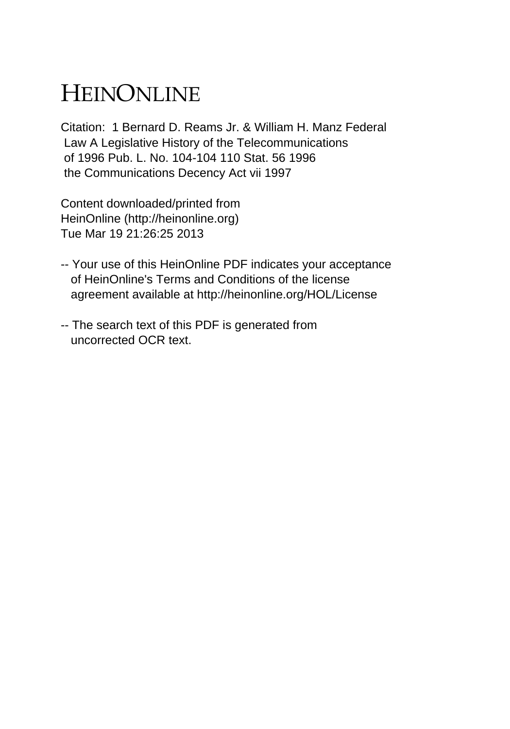# HEINONLINE

Citation: 1 Bernard D. Reams Jr. & William H. Manz Federal Law A Legislative History of the Telecommunications of 1996 Pub. L. No. 104-104 110 Stat. 56 1996 the Communications Decency Act vii 1997

Content downloaded/printed from HeinOnline (http://heinonline.org) Tue Mar 19 21:26:25 2013

- -- Your use of this HeinOnline PDF indicates your acceptance of HeinOnline's Terms and Conditions of the license agreement available at http://heinonline.org/HOL/License
- -- The search text of this PDF is generated from uncorrected OCR text.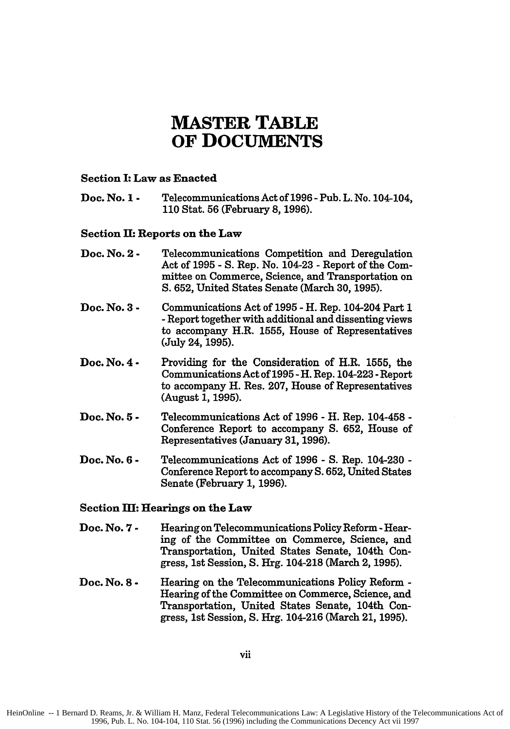# **MASTER TABLE OF DOCUMENTS**

### Section I: Law as Enacted

Doc. No. **1 -** Telecommunications Act of **1996** - Pub. L. No. 104-104, **110** Stat. **56** (February 8, **1996).**

### Section **II:** Reports on the Law

- Doc. No. **2 -** Telecommunications Competition and Deregulation Act of **1995 - S.** Rep. No. 104-23 - Report of the Committee on Commerce, Science, and Transportation on **S. 652,** United States Senate (March **30, 1995).**
- Doc. No. **3 -** Communications Act of **1995 -** H. Rep. 104-204 Part **1 -**Report together with additional and dissenting views to accompany H.R. **1555,** House of Representatives (July 24, **1995).**
- Doc. No. **4 -** Providing for the Consideration of H.R. **1555,** the Communications Act of **1995** - H. Rep. 104-223 **-**Report to accompany H. Res. **207,** House of Representatives (August **1, 1995).**
- Doc. No. **5 -** Telecommunications Act of **1996 -** H. Rep. 104-458 **-** Conference Report to accompany **S. 652,** House of Representatives (January **31, 1996).**
- Doc. No. **6 -** Telecommunications Act of **1996 - S.** Rep. 104-230 **-** Conference Report to accompany **S. 652,** United States Senate (February **1, 1996).**

### Section M: Hearings on the Law

- Doc. No. **7 -** Hearing on Telecommunications Policy Reform - Hearing of the Committee on Commerce, Science, and Transportation, United States Senate, 104th Congress, 1st Session, **S.** Hrg. 104-218 (March 2, **1995).**
- Doc. No. **8 -** Hearing on the Telecommunications Policy Reform **-** Hearing of the Committee on Commerce, Science, and Transportation, United States Senate, 104th Congress, 1st Session, **S.** Hrg. 104-216 (March 21, **1995).**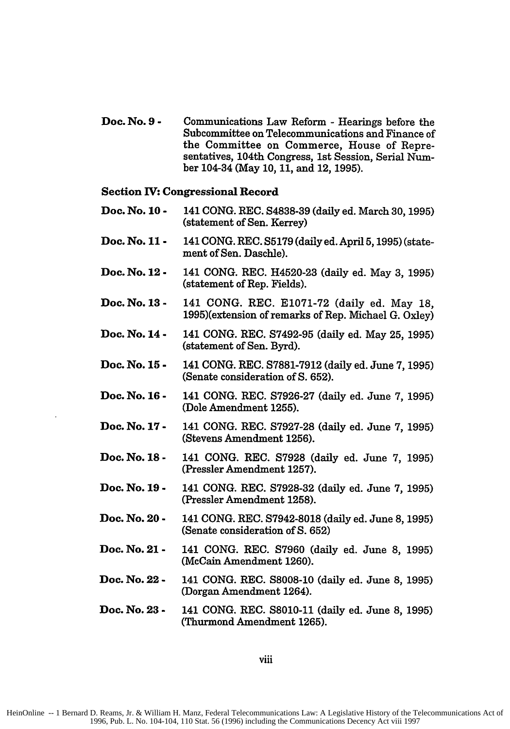**Doe. No. 9 -** Communications Law Reform **-** Hearings before the Subcommittee on Telecommunications and Finance of the Committee on Commerce, House of Representatives, 104th Congress, 1st Session, Serial Number 104-34 (May **10, 11,** and 12, **1995).**

#### **Section IV: Congressional Record**

- **Doc. No. 10 -** 141 **CONG.** REC. **S4838-39** (daily ed. March **30,1995)** (statement of Sen. Kerrey)
- **Doc. No. 11 -** 141 **CONG.** REC. **S5179** (daily ed. April **5,1995)** (statement of Sen. Daschle).
- **Doc. No. 12 -** 141 **CONG.** REC. H4520-23 (daily ed. May **3, 1995)** (statement of Rep. Fields).
- **Doc. No. 13 -** 141 **CONG.** REC. **E1071-72** (daily ed. May **18,** 1995)(extension of remarks of Rep. Michael **G.** Oxley)
- **Doc. No. 14 -** 141 **CONG.** REC. **S7492-95** (daily ed. May **25, 1995)** (statement of Sen. Byrd).
- **Doc. No. 15 -** 141 **CONG.** REC. **S7881-7912** (daily ed. June **7, 1995)** (Senate consideration of **S. 652).**
- **Doc. No. 16 -** 141 **CONG.** REC. **S7926-27** (daily ed. June **7, 1995)** (Dole Amendment **1255).**
- **Doc. No. 17 -** 141 **CONG.** REC. **S7927-28** (daily ed. June **7, 1995)** (Stevens Amendment **1256).**
- **Doc. No. 18 -** 141 **CONG.** REC. **S7928** (daily ed. June **7, 1995)** (Pressler Amendment **1257).**
- **Doc. No. 19 -** 141 **CONG.** REC. **S7928-32** (daily ed. June **7, 1995)** (Pressler Amendment **1258).**
- **Doc. No. 20 -** 141 **CONG.** REC. **S7942-8018** (daily ed. June **8, 1995)** (Senate consideration of **S. 652)**
- **Doc. No. 21 -** 141 **CONG.** REC. **S7960** (daily ed. June **8, 1995)** (McCain Amendment **1260).**
- **Doc. No. 22 -** 141 **CONG.** REC. **S8008-10** (daily ed. June **8, 1995)** (Dorgan Amendment 1264).
- **Doc. No. 23 -** 141 **CONG.** REC. **S8010-11** (daily ed. June **8, 1995)** (Thurmond Amendment **1265).**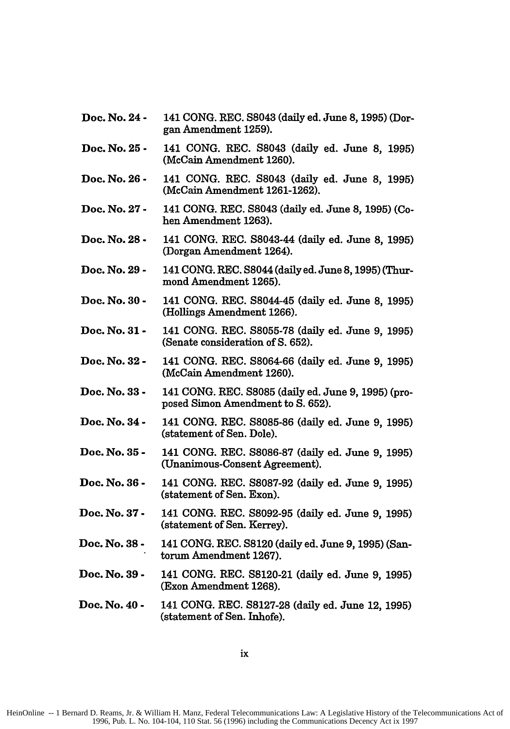- **Doc. No. 24 -** 141 **CONG.** REC. **S8043** (daily ed. June **8, 1995)** (Dorgan Amendment **1259).**
- **Doc. No. 25 -** 141 **CONG.** REC. **S8043** (daily ed. June **8, 1995)** (McCain Amendment **1260).**
- **Doc. No. 26 -** 141 **CONG.** REC. **S8043** (daily ed. June **8, 1995)** (McCain Amendment **1261-1262).**
- **Doc. No. 27 -** 141 **CONG.** REC. **S8043** (daily ed. June **8, 1995)** (Cohen Amendment **1263).**
- **Doc. No. 28-** 141 **CONG.** REC. S8043-44 (daily ed. June **8, 1995)** (Dorgan Amendment 1264).
- **Doc. No. 29 -** 141 **CONG.** REC. S8044 (daily ed. June **8,1995)** (Thurmond Amendment **1265).**
- **Doc. No. 30 -** 141 **CONG.** REC. S8044-45 (daily ed. June **8, 1995)** (Hollings Amendment **1266).**
- **Doc. No. 31-** 141 **CONG.** REC. **S8055-78** (daily ed. June **9, 1995)** (Senate consideration of **S. 652).**
- **Doc. No. 32 -** 141 **CONG.** REC. **S8064-66** (daily ed. June **9, 1995)** (McCain Amendment **1260).**
- **Doc. No. 33 -** 141 **CONG.** REC. **S8085** (daily ed. June **9, 1995)** (proposed Simon Amendment to **S. 652).**
- **Doc. No. 34-** 141 **CONG.** REC. **S8085-86** (daily ed. June **9, 1995)** (statement of Sen. Dole).
- **Doc. No. 35 -** 141 **CONG.** REC. **S8086-87** (daily ed. June **9, 1995)** (Unanimous-Consent Agreement).
- **Doe. No. 36 -** 141 **CONG.** REC. **S8087-92** (daily ed. June **9, 1995)** (statement of Sen. Exon).
- **Doc. No. 37-** 141 **CONG.** REC. **S8092-95** (daily ed. June **9, 1995)** (statement of Sen. Kerrey).
- **Doc. No. 38-** 141 **CONG.** REC. **S8120** (daily ed. June **9, 1995)** (Santorum Amendment **1267).**
- **Doc. No. 39 -** 141 **CONG.** REC. **S8120-21** (daily ed. June **9, 1995)** (Exon Amendment **1268).**
- **Doc. No. 40 -** 141 **CONG.** REC. **S8127-28** (daily ed. June 12, **1995)** (statement of Sen. Inhofe).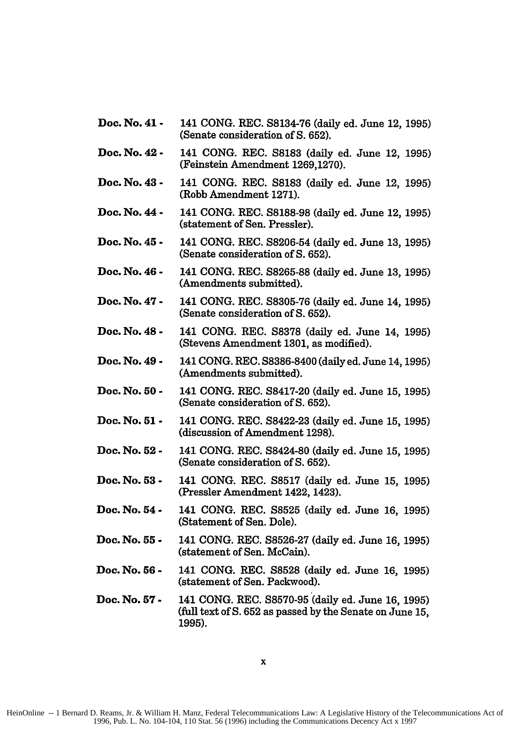- **Doc.** No. 41 **-** 141 **CONG.** REC. **S8134-76** (daily ed. June 12, **1995)** (Senate consideration of **S. 652).**
- **Doc.** No. 42 **-** 141 **CONG.** REC. **S8183** (daily ed. June 12, **1995)** (Feinstein Amendment **1269,1270).**
- Doc. No. 43 **-** 141 **CONG.** REC. **S8183** (daily ed. June 12, **1995)** (Robb Amendment **1271).**
- Doc. No. 44 **-** 141 **CONG.** REC. **S8188-98** (daily ed. June 12, **1995)** (statement of Sen. Pressler).
- Doc. No. 45 **-** 141 **CONG.** REC. **S8206-54** (daily ed. June **13, 1995)** (Senate consideration of **S. 652).**
- Doc. No. 46 **-** 141 **CONG.** REC. **S8265-88** (daily ed. June **13, 1995)** (Amendments submitted).
- Doc. No. 47 **-** 141 **CONG.** REC. **S8305-76** (daily ed. June 14, 1995) (Senate consideration of **S. 652).**
- Doc. No. 48 **-** 141 **CONG.** REC. **S8378** (daily ed. June 14, **1995)** (Stevens Amendment **1301,** as modified).
- Doc. No. 49 **-** 141 **CONG.** REC. **S8386-8400** (daily ed. June 14,1995) (Amendments submitted).
- Doe. No. **50 -** 141 **CONG.** REC. **S8417-20** (daily ed. June **15, 1995)** (Senate consideration of **S. 652).**
- Doc. No. **51 -** 141 **CONG.** REC. **S8422-23** (daily ed. June **15, 1995)** (discussion of Amendment **1298).**
- Doc. No. **52 -** 141 **CONG.** REC. S8424-80 (daily ed. June **15, 1995)** (Senate consideration of **S. 652).**
- Doc. No. **53 -** 141 **CONG.** REC. **S8517** (daily ed. June **15, 1995)** (Pressler Amendment 1422, 1423).
- Doc. No. 54 **-** 141 **CONG.** REC. **S8525** (daily ed. June **16, 1995)** (Statement of Sen. Dole).
- Doc. No. **55 -** 141 **CONG.** REC. **S8526-27** (daily ed. June **16, 1995)** (statement of Sen. McCain).
- Doc. No. **56 -** 141 **CONG.** REC. **S8528** (daily ed. June **16, 1995)** (statement of Sen. Packwood).
- **Doc.** No. **57 -** 141 **CONG.** REC. **S8570-95** (daily ed. June **16, 1995) (full** text of **S. 652** as passed **by** the Senate on June **15, 1995).**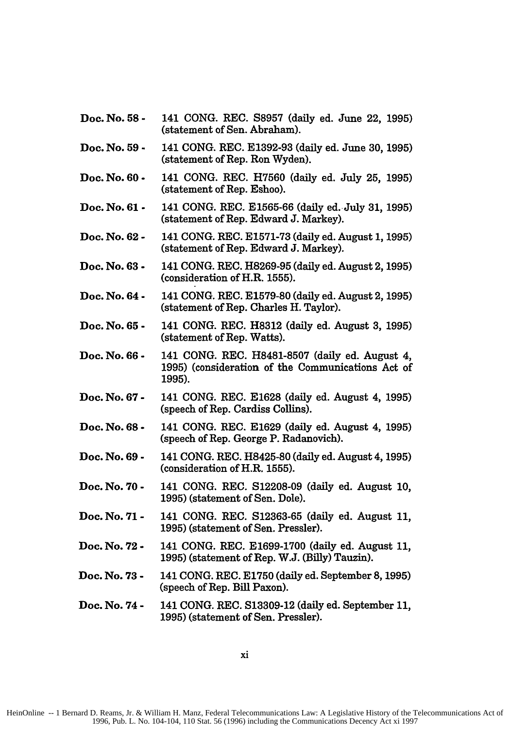- Doc. No. **58 -** 141 **CONG.** REC. **S8957** (daily ed. June 22, **1995)** (statement of Sen. Abraham).
- Doc. No. **59 -** 141 **CONG.** REC. **E1392-93** (daily ed. June **30, 1995)** (statement of Rep. Ron Wyden).
- Doc. No. **60 -** 141 **CONG.** REC. **H7560 (daily** ed. July **25, 1995)** (statement of Rep. Eshoo).
- Doc. No. **61 -** 141 **CONG.** REC. **E1565-66** (daily ed. July **31, 1995)** (statement of Rep. Edward **J.** Markey).
- Doc. No. **62 -** 141 **CONG.** REC. **E1571-73** (daily ed. August **1, 1995)** (statement of Rep. Edward **J.** Markey).
- Doc. No. **63 -** 141 **CONG.** REC. **H8269-95** (daily ed. August **2, 1995)** (consideration of H.R. **1555).**
- Doc. No. 64 **-** 141 **CONG.** REC. **E1579-80** (daily ed. August **2, 1995)** (statement of Rep. Charles H. Taylor).
- Doc. No. **65 -** 141 **CONG.** REC. **H8312** (daily **ed.** August **3, 1995)** (statement of Rep. Watts).
- Doc. No. **66 -** 141 **CONG.** REC. **H8481-8507** (daily ed. August 4, **1995)** (consideration of the Communications Act of **1995).**
- Doc. No. **67 -** 141 **CONG.** REC. **E1628** (daily ed. August 4, **1995)** (speech of Rep. Cardiss Collins).
- Doc. No. **68 -** 141 **CONG.** REC. **E1629** (daily ed. August 4, **1995)** (speech of Rep. George P. Radanovich).
- Doc. No. **69 -** 141 **CONG.** REC. **H8425-80** (daily ed. August 4, 1995) (consideration of H.R. **1555).**
- Doc. No. **70 -** 141 **CONG.** REC. **S12208-09** (daily **ed.** August **10, 1995)** (statement of Sen. Dole).
- Doc. No. **71 -** 141 **CONG.** REC. **S12363-65** (daily ed. August **11, 1995)** (statement of Sen. Pressler).
- Doc. No. **72 -** 141 **CONG.** REC. **E1699-1700** (daily ed. August **11, 1995)** (statement of Rep. **W.J.** (Billy) Tauzin).
- Doc. No. **73 -** 141 **CONG.** REC. **E1750** (daily ed. September **8,1995)** (speech of Rep. Bill Paxon).
- Doc. No. 74 **-** 141 **CONG.** REC. **S13309-12** (daily ed. September **11, 1995)** (statement of Sen. Pressler).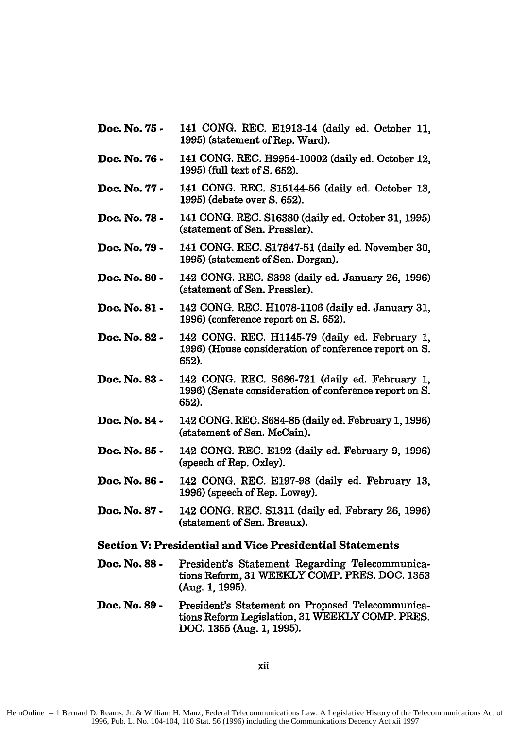- Doc. No. **75 -** 141 CONG. REC. E1913-14 (daily ed. October **11, 1995)** (statement of Rep. Ward).
- **Doc. No. 76 -** 141 **CONG.** REC. H9954-10002 (daily ed. October 12, **1995)** (full text of **S. 652).**
- **Doc. No. 77 -** 141 **CONG.** REC. S15144-56 (daily ed. October **13, 1995)** (debate over **S. 652).**
- **Doc. No. 78 -** 141 **CONG.** REC. **S16380** (daily ed. October **31, 1995)** (statement of Sen. Pressler).
- **Doc. No. 79 -** 141 **CONG.** REC. **S17847-51** (daily ed. November **30, 1995)** (statement of Sen. Dorgan).
- **Doc. No. 80 -** 142 **CONG.** REC. **S393** (daily ed. January **26, 1996)** (statement of Sen. Pressler).
- **Doc. No. 81 -** 142 **CONG.** REC. **H1078-1106** (daily ed. January **31, 1996)** (conference report on **S. 652).**
- **Doc. No. 82 -** 142 **CONG.** REC. **H1145-79** (daily ed. February **1, 1996)** (House consideration of conference report on **S. 652).**
- **Doc. No. 83 -** 142 **CONG.** REC. **S686-721** (daily ed. February **1, 1996)** (Senate consideration of conference report on **S. 652).**
- **Doc. No. 84 -** 142 **CONG.** REC. **S684-85** (daily ed. February **1, 1996)** (statement of Sen. McCain).
- **Doc. No. 85 -** 142 **CONG.** REC. **E192** (daily ed. February **9, 1996)** (speech of Rep. Oxley).
- **Doc. No. 86 -** 142 **CONG.** REC. **E197-98** (daily ed. February **13, 1996)** (speech of Rep. Lowey).
- **Doc. No. 87 -** 142 **CONG.** REC. **S1311** (daily ed. Febrary **26, 1996)** (statement of Sen. Breaux).

# **Section V: Presidential and Vice Presidential Statements**

- Doc. No. 88 President's Statement Regarding Telecommunica**tions Reform, 31 WEEKLY COMP. PRES. DOC. 1353 (Aug. 1, 1995).**
- **Doc. No. 89 -** President's Statement on Proposed Telecommunications Reform Legislation, **31 WEEKLY COMP. PRES. DOC. 1355 (Aug. 1, 1995).**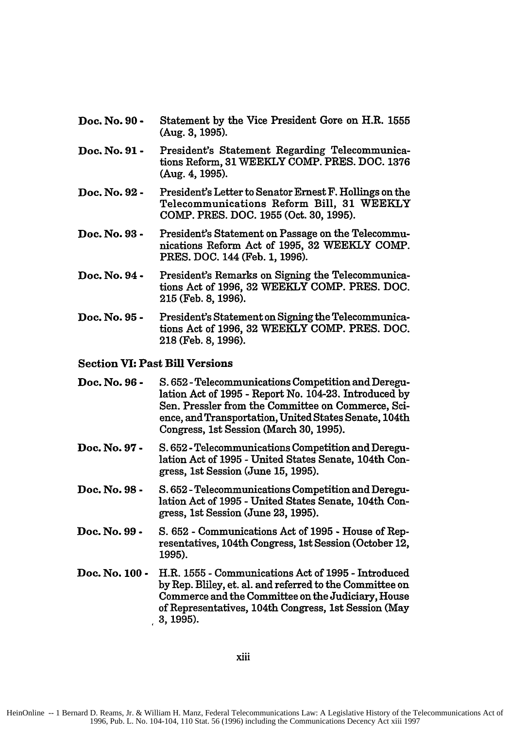- Doc. No. **90 -** Statement by the Vice President Gore on H.R. **1555** (Aug. **3, 1995).**
- Doc. No. **91 -** President's Statement Regarding Telecommunications Reform, 31 WEEKLY COMP. PRES. **DOC.** 1376 (Aug. 4, 1995).
- Doc. No. **92 -** President's Letter to Senator Ernest F. Hollings on the Telecommunications Reform Bill, 31 WEEKLY COMP. PRES. DOC. 1955 (Oct. 30, 1995).
- Doc. No. **93 -** President's Statement on Passage on the Telecommunications Reform Act of 1995, 32 WEEKLY COMP. PRES. **DOC.** 144 (Feb. 1, 1996).
- Doc. No. 94 **-** President's Remarks on Signing the Telecommunications Act of 1996, 32 WEEKLY COMP. PRES. DOC. 215 (Feb. 8, 1996).
- Doc. No. **95 -** President's Statement on Signing the Telecommunications Act of 1996, 32 WEEKLY **COMP.** PRES. DOC. 218 (Feb. 8, 1996).

#### Section VI: Past **Bill** Versions

| Doc. No. 96 -        | S. 652 - Telecommunications Competition and Deregu-<br>lation Act of 1995 - Report No. 104-23. Introduced by<br>Sen. Pressler from the Committee on Commerce, Sci-<br>ence, and Transportation, United States Senate, 104th<br>Congress, 1st Session (March 30, 1995). |
|----------------------|------------------------------------------------------------------------------------------------------------------------------------------------------------------------------------------------------------------------------------------------------------------------|
| <b>Doc. No. 97 -</b> | S. 652 - Telecommunications Competition and Deregu-<br>lation Act of 1995 - United States Senate, 104th Con-<br>gress, 1st Session (June 15, 1995).                                                                                                                    |
| Doc. No. 98 -        | S. 652 - Telecommunications Competition and Deregu-<br>lation Act of 1995 - United States Senate, 104th Con-<br>gress, 1st Session (June 23, 1995).                                                                                                                    |
| Doc. No. 99 -        | S. 652 - Communications Act of 1995 - House of Rep-<br>resentatives, 104th Congress, 1st Session (October 12,<br>1995).                                                                                                                                                |
| Doc. No. 100 -       | H.R. 1555 - Communications Act of 1995 - Introduced<br>by Rep. Bliley, et. al. and referred to the Committee on<br>Commerce and the Committee on the Judiciary, House<br>of Representatives, 104th Congress, 1st Session (May<br>3, 1995).                             |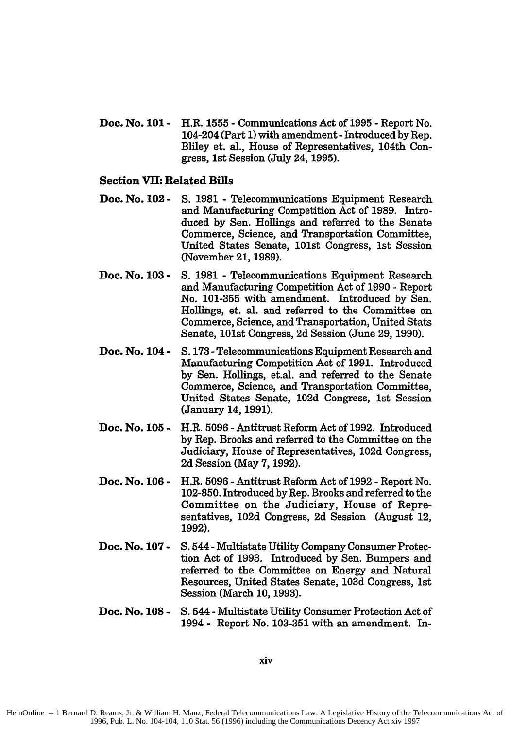**Doc. No. 101 -** H.R. 1555 - Communications Act of 1995 - Report No. 104-204 (Part **1)** with amendment **-**Introduced by Rep. Bliley et. al., House of Representatives, 104th Congress, 1st Session (July 24, 1995).

#### **Section VII: Related Bills**

- **Doc. No. 102 - S. 1981 -** Telecommunications Equipment Research and Manufacturing Competition Act of **1989.** Introduced by Sen. Hollings and referred to the Senate Commerce, Science, and Transportation Committee, United States Senate, 101st Congress, 1st Session (November 21, 1989).
- **Doc. No. 103 - S.** 1981 - Telecommunications Equipment Research and Manufacturing Competition Act of 1990 - Report No. 101-355 with amendment. Introduced by Sen. Hollings, et. al. and referred to the Committee on Commerce, Science, and Transportation, United Stats Senate, 101st Congress, 2d Session (June 29, 1990).
- **Doc. No. 104 - S. 173 -**Telecommunications Equipment Research and Manufacturing Competition Act of 1991. Introduced by Sen. Hollings, et.al. and referred to the Senate Commerce, Science, and Transportation Committee, United States Senate, 102d Congress, 1st Session (January 14, 1991).
- **Doc. No. 105 -** H.R. 5096 - Antitrust Reform Act of 1992. Introduced by Rep. Brooks and referred to the Committee on the Judiciary, House of Representatives, 102d Congress, 2d Session (May 7, 1992).
- **Doc. No. 106 -** H.R. 5096 - Antitrust Reform Act of 1992 **-** Report No. 102-850. Introduced by Rep. Brooks and referred to the Committee on the Judiciary, House of Representatives, 102d Congress, 2d Session (August 12, **1992).**
- **Doc. No. 107 -** S. 544 - Multistate Utility Company Consumer Protection Act of 1993. Introduced by Sen. Bumpers and referred to the Committee on Energy and Natural Resources, United States Senate, 103d Congress, 1st Session (March 10, 1993).
- **Doc. No. 108 -** S. 544 - Multistate Utility Consumer Protection Act of 1994 - Report No. 103-351 with an amendment. In-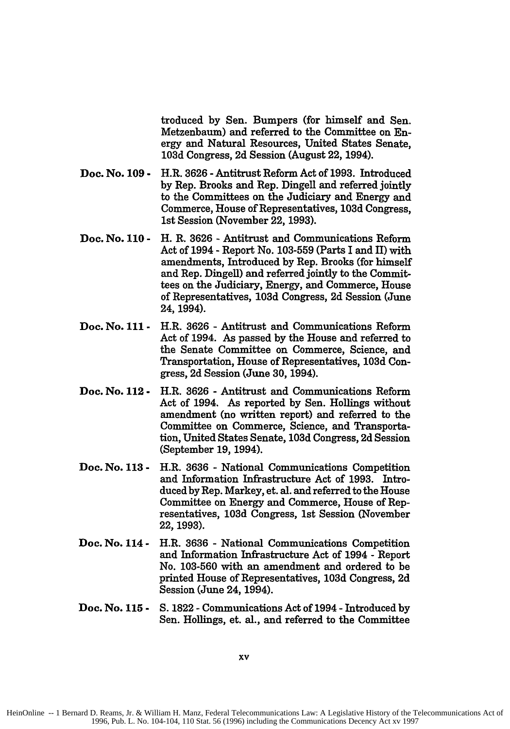troduced **by** Sen. Bumpers (for himself and Sen. Metzenbaum) and referred to the Committee on Energy and Natural Resources, United States Senate, **103d** Congress, **2d** Session (August 22, 1994).

- **Doc. No. 109 -** H.R. **3626 -** Antitrust Reform Act of **1993.** Introduced **by** Rep. Brooks and Rep. Dingell and referred jointly to the Committees on the Judiciary and Energy and Commerce, House of Representatives, **103d** Congress, 1st Session (November 22, **1993).**
- **Doc. No. 110 -** H. R. **3626** - Antitrust and Communications Reform Act of 1994 - Report No. **103-559** (Parts I and **H)** with amendments, Introduced **by** Rep. Brooks (for himself and Rep. Dingell) and referred jointly to the Committees on the Judiciary, Energy, and Commerce, House of Representatives, **103d** Congress, **2d** Session (June 24, 1994).
- **Doc. No. 111 -** H.R. **3626** - Antitrust and Communications Reform Act of 1994. As passed **by** the House and referred to the Senate Committee on Commerce, Science, and Transportation, House of Representatives, **103d** Congress, **2d** Session (June **30,** 1994).
- **Doc. No. 112 -** H.R. **3626**  Antitrust and Communications Reform Act of 1994. As reported **by** Sen. Hollings without amendment (no written report) and referred to the Committee on Commerce, Science, and Transportation, United States Senate, **103d** Congress, **2d** Session (September **19,** 1994).
- **Doc. No. 113 -** H.R. **3636** - National Communications Competition and Information Infrastructure Act of **1993.** Introduced **by** Rep. Markey, et. al. and referred to the House Committee on Energy and Commerce, House of Representatives, **103d** Congress, **1st** Session (November **22, 1993).**
- **Doc. No. 114 -** H.R. **3636** - National Communications Competition and Information Infrastructure Act of 1994 **-** Report No. **103-560** with an amendment and ordered to be printed House of Representatives, **103d** Congress, **2d** Session (June 24, 1994).
- **Doc. No. 115 - S. 1822** - Communications Act of 1994 **-** Introduced **by** Sen. Hollings, et. al., and referred to the Committee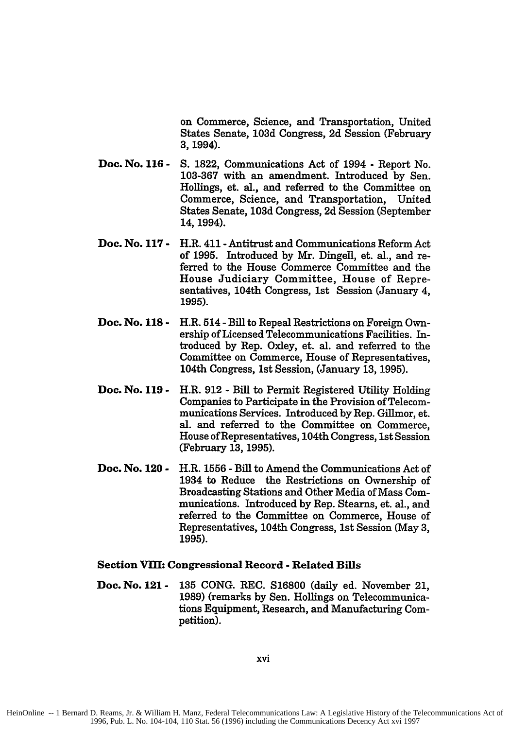on Commerce, Science, and Transportation, United States Senate, **103d** Congress, **2d** Session (February 3, 1994).

- **Doc. No. 116 - S. 1822,** Communications Act of 1994 **-** Report No. **103-367** with an amendment. Introduced **by** Sen. Hollings, et. al., and referred to the Committee on Commerce, Science, and Transportation, United States Senate, **103d** Congress, **2d** Session (September 14, 1994).
- **Doc. No. 117 -** H.R. 411 Antitrust and Communications Reform Act of **1995.** Introduced **by** Mr. Dingell, et. al., and referred to the House Commerce Committee and the House Judiciary Committee, House of Representatives, 104th Congress, 1st Session (January 4, **1995).**
- **Doc. No. 118 -** H.R. 514 **-**Bill to Repeal Restrictions on Foreign Ownership of Licensed Telecommunications Facilities. Introduced **by** Rep. Oxley, et. al. and referred to the Committee on Commerce, House of Representatives, 104th Congress, 1st Session, (January **13, 1995).**
- **Doc. No. 119 -** H.R. **912 -** Bill to Permit Registered Utility Holding Companies to Participate in the Provision of Telecommunications Services. Introduced **by** Rep. Gillmor, et. al. and referred to the Committee on Commerce, House of Representatives, 104th Congress, 1st Session (February **13, 1995).**
- **Doc. No. 120 -** H.R. **1556 -** Bill to Amend the Communications Act of 1934 to Reduce the Restrictions on Ownership of Broadcasting Stations and Other Media of Mass Communications. Introduced **by** Rep. Stearns, et. al., and referred to the Committee on Commerce, House of Representatives, 104th Congress, **1st** Session (May **3, 1995).**

#### **Section VIII: Congressional Record - Related Bills**

**Doc. No. 121 - 135 CONG.** REC. **S16800** (daily ed. November 21, **1989)** (remarks **by** Sen. Hollings on Telecommunications Equipment, Research, and Manufacturing Competition).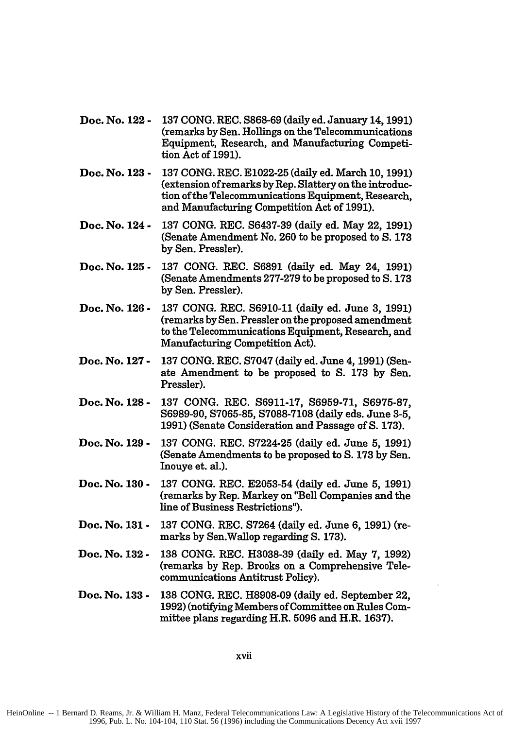- **Doc. No. 122 - 137 CONG. REC. S868-69 (daily ed. January 14,1991) (remarks by Sen.** Hollings on the Telecommunications Equipment, Research, and Manufacturing Competition Act of **1991).**
- **Doc. No. 123 - 137 CONG.** REC. **E1022-25** (daily ed. March **10, 1991)** (extension of remarks **by** Rep. Slattery on the introduction of the Telecommunications Equipment, Research, and Manufacturing Competition Act of **1991).**
- **Doc. No. 124 -** 137 **CONG.** REC. S6437-39 (daily ed. May 22, 1991) (Senate Amendment No. 260 to be proposed to S. 173 by Sen. Pressler).
- **Doc. No. 125 -** 137 **CONG.** REC. **S6891** (daily ed. May 24, 1991) (Senate Amendments 277-279 to be proposed to **S.** 173 by Sen. Pressler).
- **Doc. No. 126 -** 137 CONG. REC. S6910-11 (daily ed. June 3, 1991) (remarks by Sen. Pressler on the proposed amendment to the Telecommunications Equipment, Research, and Manufacturing Competition Act).
- **Doc. No. 127 -** 137 CONG. REC. S7047 (daily ed. June 4, 1991) (Senate Amendment to be proposed to **S. 173** by Sen. Pressler).
- **Doc. No. 128 -** 137 CONG. REC. S6911-17, S6959-71, S6975-87, S6989-90, S7065-85, S7088-7108 (daily eds. June 3-5, 1991) (Senate Consideration and Passage of **S.** 173).
- **Doc. No. 129 -** 137 CONG. REC. S7224-25 (daily ed. June 5, 1991) (Senate Amendments to be proposed to **S. 173 by** Sen. Inouye et. al.).
- **Doc. No. 130 -** 137 CONG. REC. E2053-54 (daily ed. June **5, 1991)** (remarks by Rep. Markey on "Bell Companies and the line of Business Restrictions").
- **Doc. No. 131 -** 137 CONG. REC. S7264 (daily ed. June 6, **1991)** (remarks by Sen.Wallop regarding **S.** 173).
- **Doc. No. 132 -** 138 CONG. REC. H3038-39 (daily ed. May 7, 1992) (remarks by Rep. Brooks on a Comprehensive Telecommunications Antitrust Policy).
- **Doc. No. 133 - 138 CONG.** REC. **H8908-09** (daily ed. September 22, **1992)** (notifying Members of Committee on Rules Committee plans regarding H.R. **5096** and H.R. **1637).**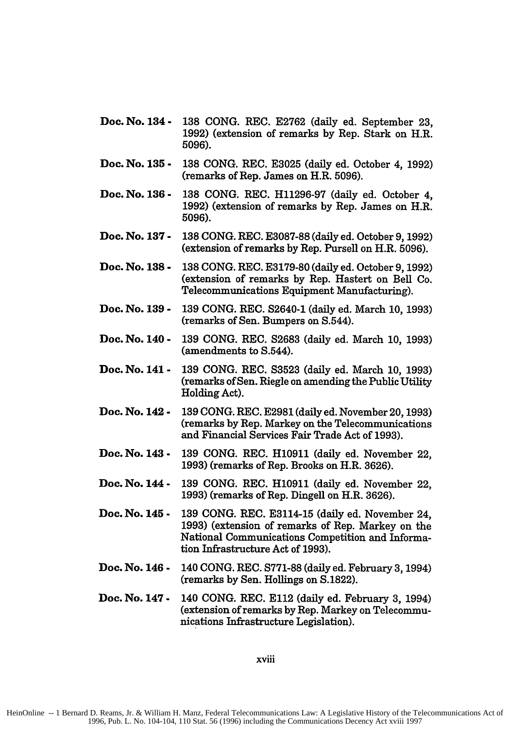- **Doe. No. 134 - 138 CONG. REC. E2762** (daily ed. September **23, 1992) (extension of remarks by Rep. Stark on H.R. 5096).**
- **Doc. No. 135 - 138 CONG.** REC. **E3025** (daily ed. October 4, **1992)** (remarks of Rep. James on H.R. **5096).**
- **Doc. No. 136 - 138 CONG.** REC. **H11296-97** (daily ed. October 4, **1992)** (extension of remarks **by** Rep. James on H.R. **5096).**
- **Doc. No. 137 - 138 CONG.** REC. **E3087-88** (daily ed. October **9, 1992)** (extension of remarks **by** Rep. Pursell on H.R. **5096).**
- **Doc. No. 138 - 138 CONG.** REC. **E3179-80** (daily ed. October **9, 1992)** (extension of remarks **by** Rep. Hastert on Bell Co. Telecommunications Equipment Manufacturing).
- **Doc. No. 139 -** 139 **CONG.** REC. S2640-1 (daily ed. March 10, 1993) (remarks of Sen. Bumpers on S.544).
- **Doc. No. 140 -** 139 CONG. REC. S2683 (daily ed. March **10,** 1993) (amendments to S.544).
- **Doe. No. 141 -** 139 **CONG.** REC. **S3523** (daily ed. March 10, 1993) (remarks of Sen. Riegle on amending the Public Utility Holding Act).
- **Doc. No. 142 -** 139 **CONG.** REC. E2981 (daily ed. November 20, 1993) (remarks by Rep. Markey on the Telecommunications and Financial Services Fair Trade Act of 1993).
- **Doc. No. 143 -** 139 **CONG.** REC. H10911 (daily ed. November 22, 1993) (remarks of Rep. Brooks on H.R. 3626).
- **Doc. No. 144 -** 139 **CONG.** REC. **H10911** (daily ed. November 22, 1993) (remarks of Rep. Dingell on H.R. 3626).
- **Doc. No. 145 -** 139 CONG. REC. E3114-15 (daily ed. November 24, 1993) (extension of remarks of Rep. Markey on the National Communications Competition and Information Infrastructure Act of 1993).
- **Doc. No. 146 -** 140 CONG. REC. S771-88 (daily ed. February 3, 1994) (remarks **by** Sen. Hollings on S.1822).
- **Doc. No. 147 -** 140 **CONG.** REC. **E112** (daily ed. February 3, 1994) (extension of remarks by Rep. Markey on Telecommunications Infrastructure Legislation).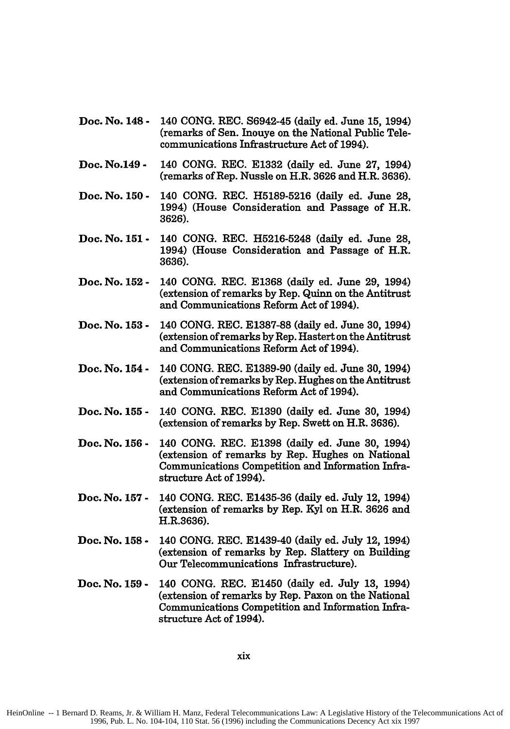- Doc. No. 148 **-** 140 **CONG.** REC. S6942-45 (daily ed. June **15,** 1994) (remarks of Sen. Inouye on the National Public Telecommunications Infrastructure Act of 1994).
- Doc. No.149 **-** 140 **CONG.** REC. **E1332** (daily ed. June **27,** 1994) (remarks of Rep. Nussle on H.R. **3626** and H.R. **3636).**
- Doc. No. **150 -** 140 **CONG.** REC. **H5189-5216** (daily ed. June **28,** 1994) (House Consideration and Passage of H.R. **3626).**
- Doc. No. **151 -** 140 **CONG.** REC. **H5216-5248** (daily ed. June **28,** 1994) (House Consideration and Passage of H.R. **3636).**
- Doc. No. **152 -** 140 **CONG.** REC. **E1368** (daily ed. June **29,** 1994) (extension of remarks **by** Rep. Quinn on the Antitrust and Communications Reform Act of 1994).
- Doc. No. **153 -** 140 **CONG.** REC. **E1387-88** (daily ed. June 30, 1994) (extension of remarks **by** Rep. Hastert on the Antitrust and Communications Reform Act of 1994).
- Doc. No. 154 **-** 140 **CONG.** REC. **E1389-90** (daily ed. June **30,** 1994) (extension of remarks **by** Rep. Hughes on the Antitrust and Communications Reform Act of 1994).
- Doc. No. **155 -** 140 **CONG.** REC. **E1390** (daily ed. June **30,** 1994) (extension of remarks **by** Rep. Swett on H.R. **3636).**
- Doc. No. **156 -** 140 **CONG.** REC. **E1398** (daily ed. June **30,** 1994) (extension of remarks **by** Rep. Hughes on National Communications Competition and Information Infrastructure Act of 1994).
- Doc. No. **157 -** 140 **CONG.** REC. **E1435-36** (daily ed. July 12, 1994) (extension of remarks **by** Rep. **Kyl** on H.R. **3626** and H.R.3636).
- Doc. No. **158 -** 140 **CONG.** REC. E1439-40 (daily ed. July 12, 1994) (extension of remarks **by** Rep. Slattery on Building Our Telecommunications Infrastructure).
- Doc. No. **159 -** 140 **CONG.** REC. E1450 (daily ed. July **13,** 1994) (extension of remarks **by** Rep. Paxon on the National Communications Competition and Information Infrastructure Act of 1994).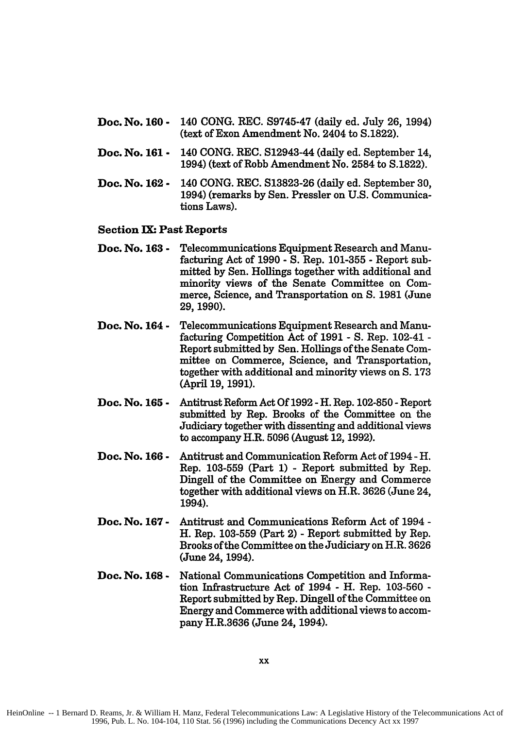- **Doc. No. 160 -** 140 **CONG.** REC. **S9745-47** (daily ed. July **26,** 1994) (text of Exon Amendment No. 2404 to **S.1822).**
- **Doc. No. 161 -** 140 **CONG.** REC. S12943-44 (daily ed. September 14, 1994) (text of Robb Amendment No. 2584 to S.1822).
- **Doc. No. 162 -** 140 CONG. REC. S13823-26 (daily ed. September 30, 1994) (remarks by Sen. Pressler on U.S. Communications Laws).

#### **Section IX: Past Reports**

- **Doc. No. 163 -** Telecommunications Equipment Research and Manufacturing Act of **1990 - S.** Rep. **101-355 -** Report submitted by Sen. Hollings together with additional and minority views of the Senate Committee on Commerce, Science, and Transportation on **S. 1981** (June 29, 1990).
- **Doc. No. 164 -** Telecommunications Equipment Research and Manufacturing Competition Act of 1991 - S. Rep. 102-41 - Report submitted by Sen. Hollings of the Senate Committee on Commerce, Science, and Transportation, together with additional and minority views on S. 173 (April **19, 1991).**
- **Doc. No. 165 -** Antitrust Reform Act Of 1992 -H. Rep. 102-850 -Report submitted by Rep. Brooks of the Committee on the Judiciary together with dissenting and additional views to accompany H.R. 5096 (August 12, 1992).
- **Doc. No. 166 -** Antitrust and Communication Reform Act of 1994 -H. Rep. 103-559 (Part 1) **-** Report submitted by Rep. Dingell of the Committee on Energy and Commerce together with additional views on H.R. 3626 (June 24, 1994).
- **Doc. No. 167 -** Antitrust and Communications Reform Act of 1994 - H. Rep. 103-559 (Part 2) - Report submitted by Rep. Brooks of the Committee on the Judiciary on H.R. 3626 (June 24, 1994).
- **Doc. No. 168 -** National Communications Competition and Information Infrastructure Act of 1994 **-** H. Rep. 103-560 - Report submitted by Rep. Dingell of the Committee on Energy and Commerce with additional views to accompany H.R.3636 (June 24, 1994).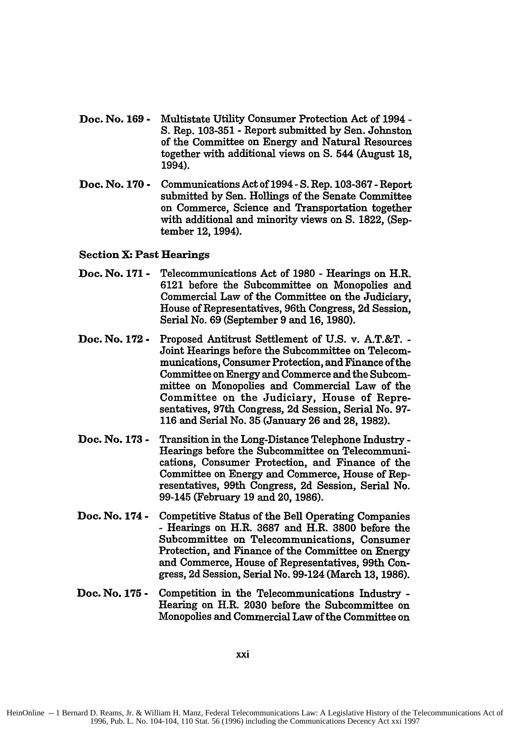- Doc. No. **169 -** Multistate Utility Consumer Protection Act of 1994 - **S.** Rep. **103-351 -** Report submitted **by** Sen. Johnston of the Committee on Energy and Natural Resources together with additional views on **S.** 544 (August **18,** 1994).
- Doc. No. **170 -** Communications Act of 1994- **S.** Rep. **103-367 -**Report submitted **by** Sen. Hollings of the Senate Committee on Commerce, Science and Transportation together with additional and minority views on **S. 1822,** (September 12, 1994).

# Section X. Past Hearings

- **Doc. No. 171 -** Telecommunications Act of **1980 -** Hearings on H.R. **6121** before the Subcommittee on Monopolies and Commercial Law of the Committee on the Judiciary, House of Representatives, 96th Congress, **2d** Session, Serial No. **69** (September **9** and **16, 1980).**
- **Doc. No. 172 -** Proposed Antitrust Settlement of **U.S.** v. A.T.&T. **-** Joint Hearings before the Subcommittee on Telecommunications, Consumer Protection, and Finance of the **Committee** on Energy and Commerce and the Subcommittee on Monopolies and Commercial Law of the Committee on the Judiciary, House of Representatives, 97th Congress, **2d** Session, Serial No. **97- 116** and Serial No. **35** (January **26** and **28, 1982).**
- **Doc. No. 173 -** Transition in the Long-Distance Telephone Industry **-** Hearings before the Subcommittee on Telecommunications, Consumer Protection, and Finance of the Committee on Energy and Commerce, House of Representatives, 99th Congress, **2d** Session, Serial No. 99-145 (February **19** and 20, **1986).**
- **Doc. No. 174 -** Competitive Status of the Bell Operating Companies **-** Hearings on H.R. **3687** and H.R. **3800** before the Subcommittee on Telecommunications, Consumer Protection, and Finance of the Committee on Energy and Commerce, House of Representatives, 99th Congress, **2d** Session, Serial No. 99-124 (March **13, 1986).**
- **Doc. No. 175 -** Competition in the Telecommunications Industry **-** Hearing on H.R. 2030 before the Subcommittee on Monopolies and Commercial Law of the Committee on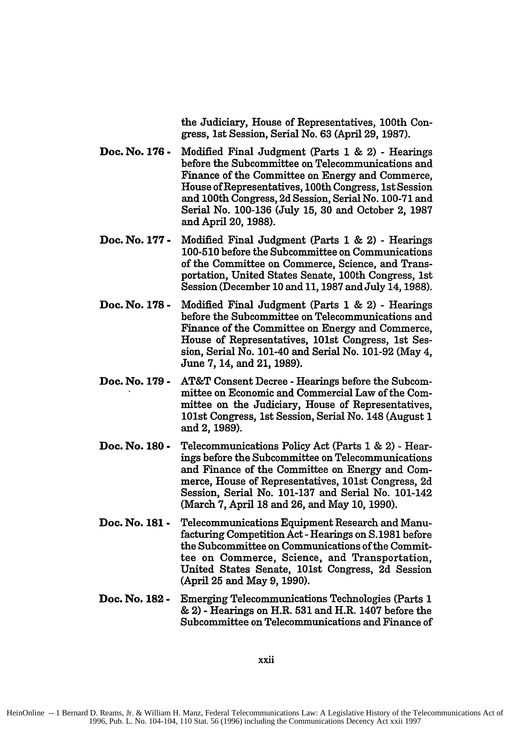the Judiciary, House of Representatives, 100th Congress, 1st Session, Serial No. **63** (April **29, 1987).**

- **Doc. No. 176 -** Modified Final Judgment (Parts **1 &** 2) **-** Hearings before the Subcommittee on Telecommunications and Finance of the Committee on Energy and Commerce, House of Representatives, 100th Congress, 1st Session and 100th Congress, **2d** Session, Serial No. **100-71** and Serial No. **100-136** (July **15, 30** and October 2, **1987** and April 20, **1988).**
- **Doc. No. 177 -** Modified Final Judgment (Parts **1 &** 2) **-** Hearings **100-510** before the Subcommittee on Communications of the Committee on Commerce, Science, and Transportation, United States Senate, 100th Congress, 1st Session (December **10** and **11, 1987** and July 14, **1988).**
- **Doc. No. 178 -** Modified Final Judgment (Parts **1** & 2) **-** Hearings before the Subcommittee on Telecommunications and Finance of the Committee on Energy and Commerce, House of Representatives, 101st Congress, 1st Session, Serial No. 101-40 and Serial No. 101-92 (May 4, June 7, 14, and 21, 1989).
- **Doc. No. 179 -** AT&T Consent Decree - Hearings before the Subcommittee on Economic and Commercial Law of the Committee on the Judiciary, House of Representatives, 101st Congress, 1st Session, Serial No. 148 (August 1 and 2, 1989).
- **Doc. No. 180 -** Telecommunications Policy Act (Parts **1** & 2) - Hearings before the Subcommittee on Telecommunications and Finance of the Committee on Energy and Commerce, House of Representatives, 101st Congress, 2d Session, Serial No. 101-137 and Serial No. 101-142 (March 7, April 18 and 26, and May 10, 1990).
- **Doc. No. 181 -** Telecommunications Equipment Research and Manufacturing Competition Act- Hearings on S. 1981 before the Subcommittee on Communications of the Committee on Commerce, Science, and Transportation, United States Senate, 101st Congress, 2d Session (April **25** and May 9, 1990).
- **Doc. No. 182 -** Emerging Telecommunications Technologies (Parts 1 & 2) - Hearings on H.R. **531** and H.R. 1407 before the Subcommittee on Telecommunications and Finance of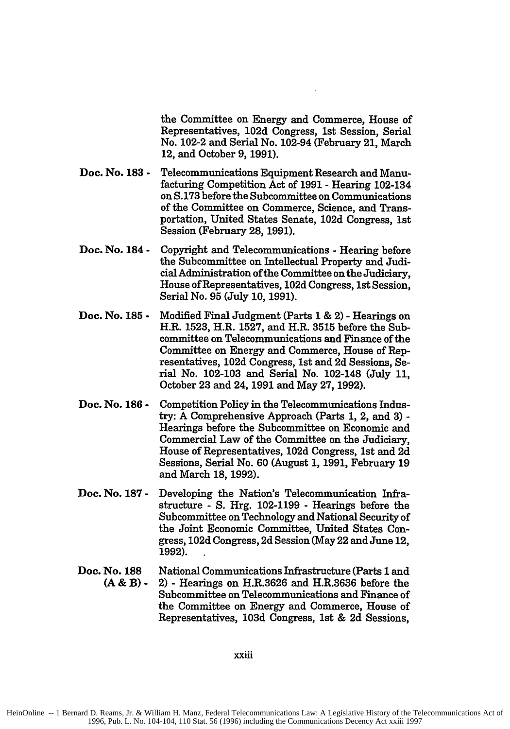the Committee on Energy and Commerce, House of Representatives, **102d** Congress, **1st** Session, Serial No. 102-2 and Serial No. 102-94 (February 21, March 12, and October **9, 1991).**

- **Doc. No. 183 -** Telecommunications Equipment Research and Manufacturing Competition Act of **1991** - Hearing 102-134 on **S.173** before the Subcommittee on Communications of the Committee on Commerce, Science, and Transportation, United States Senate, **102d** Congress, 1st Session (February **28, 1991).**
- **Doe. No. 184 -** Copyright and Telecommunications - Hearing before the Subcommittee on Intellectual Property and Judicial Administration of the Committee on the Judiciary, House of Representatives, **102d** Congress, 1st Session, Serial No. **95** (July **10, 1991).**
- **Doc. No. 185 -** Modified Final Judgment (Parts **1 &** 2) - Hearings on H.R. **1523,** H.R. **1527,** and H.R. **3515** before the Subcommittee on Telecommunications and Finance of the Committee on Energy and Commerce, House of Representatives, **102d** Congress, **1st** and **2d** Sessions, Serial No. **102-103** and Serial No. 102-148 (July **11,** October **23** and 24, **1991** and May **27, 1992).**
- **Doc. No. 186 -** Competition Policy in the Telecommunications Industry: A Comprehensive Approach (Parts **1,** 2, and **3) -** Hearings before the Subcommittee on Economic and Commercial Law of the Committee on the Judiciary, House of Representatives, **102d** Congress, 1st and **2d** Sessions, Serial No. **60** (August **1, 1991,** February **19** and March **18, 1992).**
- **Doc. No. 187 -** Developing the Nation's Telecommunication Infrastructure **- S.** Hrg. **102-1199** - Hearings before the Subcommittee on Technology and National Security of the Joint Economic Committee, United States Congress, **102d** Congress, **2d** Session (May 22 and June 12, **1992).**
- **Doc. No. 188 (A&B) -** National Communications Infrastructure (Parts **1** and 2) - Hearings on H.R.3626 and H.R.3636 before the Subcommittee on Telecommunications and Finance of the Committee on Energy and Commerce, House of Representatives, **103d** Congress, **1st** & **2d** Sessions,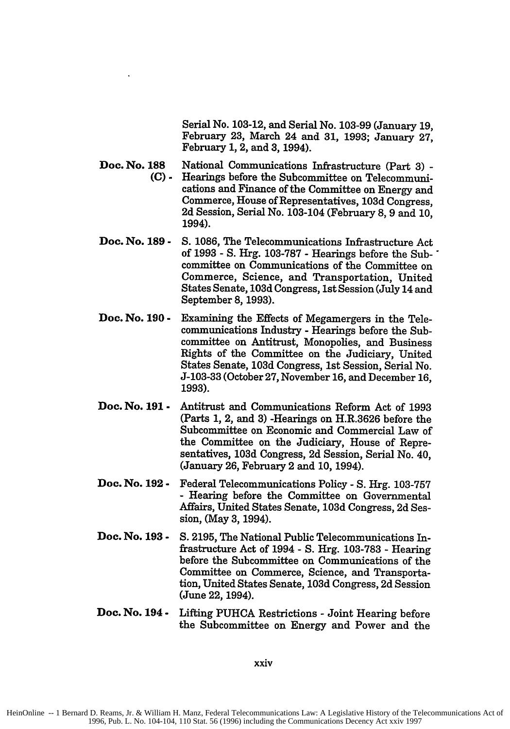Serial No. **103-12,** and Serial No. **103-99** (January **19,** February **23,** March 24 and **31, 1993;** January **27,** February **1,** 2, and **3,** 1994).

- **Doc. No. 188 (C)-** National Communications Infrastructure (Part 3) -Hearings before the Subcommittee on Telecommunications and Finance of the Committee on Energy and Commerce, House of Representatives, 103d Congress, 2d Session, Serial No. 103-104 (February 8, 9 and 10, 1994).
- **Doc. No. 189 - S.** 1086, The Telecommunications Infrastructure Act of 1993 - S. Hrg. 103-787 - Hearings before the Sub- " committee on Communications of the Committee on Commerce, Science, and Transportation, United States Senate, 103d Congress, 1st Session (July 14 and September 8, 1993).
- **Doc. No. 190 -** Examining the Effects of Megamergers in the Telecommunications Industry - Hearings before the Subcommittee on Antitrust, Monopolies, and Business Rights of the Committee on the Judiciary, United States Senate, 103d Congress, 1st Session, Serial No. J-103-33 (October 27, November **16,** and December 16, **1993).**
- **Doc. No. 191 -** Antitrust and Communications Reform Act of 1993 (Parts 1, 2, and 3) -Hearings on H.R.3626 before the Subcommittee on Economic and Commercial Law of the Committee on the Judiciary, House of Representatives, 103d Congress, 2d Session, Serial No. 40, (January 26, February 2 and 10, 1994).
- **Doc. No. 192 -** Federal Telecommunications Policy - S. Hrg. 103-757 - Hearing before the Committee on Governmental Affairs, United States Senate, 103d Congress, 2d Session, (May 3, 1994).
- **Doc. No. 193 - S.** 2195, The National Public Telecommunications Infrastructure Act of 1994 - S. Hrg. 103-783 - Hearing before the Subcommittee on Communications of the Committee on Commerce, Science, and Transportation, United States Senate, 103d Congress, 2d Session (June 22, 1994).
- **Doc. No. 194 -** Lifting PUHCA Restrictions - Joint Hearing before the Subcommittee on Energy and Power and the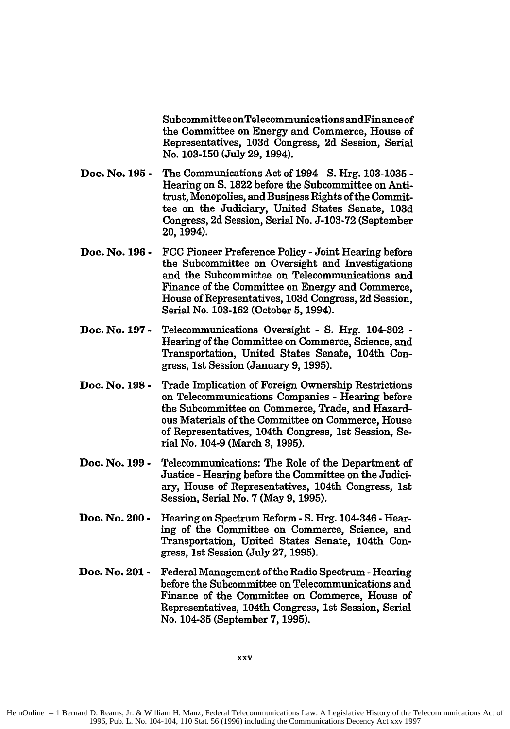Subcommittee onTelecommunications andFinanceof the Committee on Energy and Commerce, House of Representatives, **103d** Congress, **2d** Session, Serial No. **103-150** (July **29,** 1994).

- **Doc. No. 195 -** The Communications Act of 1994 **- S.** Hrg. **103-1035 -** Hearing on **S. 1822** before the Subcommittee on Antitrust, Monopolies, and Business Rights of the Committee on the Judiciary, United States Senate, **103d** Congress, **2d** Session, Serial No. **J-103-72** (September **20,** 1994).
- **Doc. No. 196 - FCC** Pioneer Preference Policy **-** Joint Hearing before the Subcommittee on Oversight and Investigations and the Subcommittee on Telecommunications and Finance of the Committee on Energy and Commerce, House of Representatives, **103d** Congress, **2d** Session, Serial No. **103-162** (October **5,** 1994).
- **Doc. No. 197 -** Telecommunications Oversight **- S.** Hrg. 104-302 **-** Hearing of the Committee on Commerce, Science, and Transportation, United States Senate, 104th Congress, 1st Session (January **9, 1995).**
- **Doc. No. 198 -** Trade Implication of Foreign Ownership Restrictions on Telecommunications Companies **-** Hearing before the Subcommittee on Commerce, Trade, and Hazardous Materials of the Committee on Commerce, House of Representatives, 104th Congress, 1st Session, Serial No. 104-9 (March **3, 1995).**
- **Doc. No. 199 -** Telecommunications: The Role of the Department of Justice **-** Hearing before the Committee on the Judiciary, House of Representatives, 104th Congress, **1st** Session, Serial No. **7** (May **9, 1995).**
- **Doc. No. 200 -** Hearing on Spectrum Reform **-S.** Hrg. 104-346 **-**Hearing of the Committee on Commerce, Science, and Transportation, United States Senate, 104th Congress, 1st Session (July **27, 1995).**
- **Doc. No. 201 -** Federal Management of the Radio Spectrum **-** Hearing before the Subcommittee on Telecommunications and Finance of the Committee on Commerce, House of Representatives, 104th Congress, 1st Session, Serial No. 104-35 (September **7, 1995).**